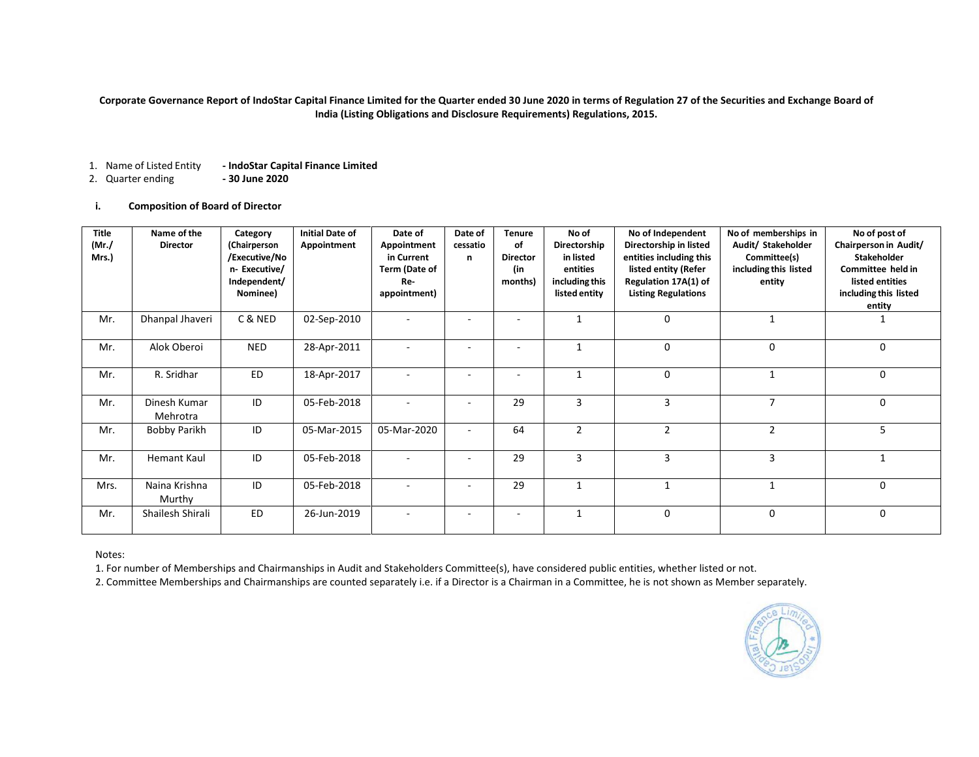### **Corporate Governance Report of IndoStar Capital Finance Limited for the Quarter ended 30 June 2020 in terms of Regulation 27 of the Securities and Exchange Board of India (Listing Obligations and Disclosure Requirements) Regulations, 2015.**

- 1. Name of Listed Entity **- IndoStar Capital Finance Limited**
- 2. Quarter ending **- 30 June 2020**

### **i. Composition of Board of Director**

| <b>Title</b><br>$(Mr$ ./<br>Mrs.) | Name of the<br><b>Director</b> | Category<br>(Chairperson<br>/Executive/No<br>n-Executive/<br>Independent/<br>Nominee) | <b>Initial Date of</b><br>Appointment | Date of<br>Appointment<br>in Current<br>Term (Date of<br>Re-<br>appointment) | Date of<br>cessatio<br>n | <b>Tenure</b><br>of<br><b>Director</b><br>(in<br>months) | No of<br>Directorship<br>in listed<br>entities<br>including this<br>listed entity | No of Independent<br>Directorship in listed<br>entities including this<br>listed entity (Refer<br>Regulation 17A(1) of<br><b>Listing Regulations</b> | No of memberships in<br>Audit/ Stakeholder<br>Committee(s)<br>including this listed<br>entity | No of post of<br>Chairperson in Audit/<br><b>Stakeholder</b><br>Committee held in<br>listed entities<br>including this listed<br>entity |
|-----------------------------------|--------------------------------|---------------------------------------------------------------------------------------|---------------------------------------|------------------------------------------------------------------------------|--------------------------|----------------------------------------------------------|-----------------------------------------------------------------------------------|------------------------------------------------------------------------------------------------------------------------------------------------------|-----------------------------------------------------------------------------------------------|-----------------------------------------------------------------------------------------------------------------------------------------|
| Mr.                               | Dhanpal Jhaveri                | C & NED                                                                               | 02-Sep-2010                           |                                                                              |                          |                                                          |                                                                                   | $\Omega$                                                                                                                                             |                                                                                               |                                                                                                                                         |
| Mr.                               | Alok Oberoi                    | <b>NED</b>                                                                            | 28-Apr-2011                           | $\overline{\phantom{a}}$                                                     |                          | ٠                                                        | $\mathbf{1}$                                                                      | $\mathbf 0$                                                                                                                                          | 0                                                                                             | 0                                                                                                                                       |
| Mr.                               | R. Sridhar                     | <b>ED</b>                                                                             | 18-Apr-2017                           |                                                                              |                          | ٠                                                        | $\mathbf{1}$                                                                      | $\Omega$                                                                                                                                             |                                                                                               | 0                                                                                                                                       |
| Mr.                               | Dinesh Kumar<br>Mehrotra       | ID                                                                                    | 05-Feb-2018                           |                                                                              |                          | 29                                                       | 3                                                                                 | 3                                                                                                                                                    | 7                                                                                             | 0                                                                                                                                       |
| Mr.                               | Bobby Parikh                   | ID                                                                                    | 05-Mar-2015                           | 05-Mar-2020                                                                  |                          | 64                                                       | $\overline{2}$                                                                    | $\overline{2}$                                                                                                                                       | $\overline{2}$                                                                                | 5                                                                                                                                       |
| Mr.                               | <b>Hemant Kaul</b>             | ID                                                                                    | 05-Feb-2018                           |                                                                              |                          | 29                                                       | $\overline{3}$                                                                    | 3                                                                                                                                                    | 3                                                                                             | $\mathbf{1}$                                                                                                                            |
| Mrs.                              | Naina Krishna<br>Murthy        | ID                                                                                    | 05-Feb-2018                           |                                                                              |                          | 29                                                       | $\mathbf{1}$                                                                      | 1                                                                                                                                                    | 1                                                                                             | 0                                                                                                                                       |
| Mr.                               | Shailesh Shirali               | <b>ED</b>                                                                             | 26-Jun-2019                           | $\overline{\phantom{a}}$                                                     | $\overline{\phantom{a}}$ | ٠                                                        | $\mathbf{1}$                                                                      | $\Omega$                                                                                                                                             | $\mathbf 0$                                                                                   | $\mathbf 0$                                                                                                                             |

Notes:

1. For number of Memberships and Chairmanships in Audit and Stakeholders Committee(s), have considered public entities, whether listed or not.

2. Committee Memberships and Chairmanships are counted separately i.e. if a Director is a Chairman in a Committee, he is not shown as Member separately.

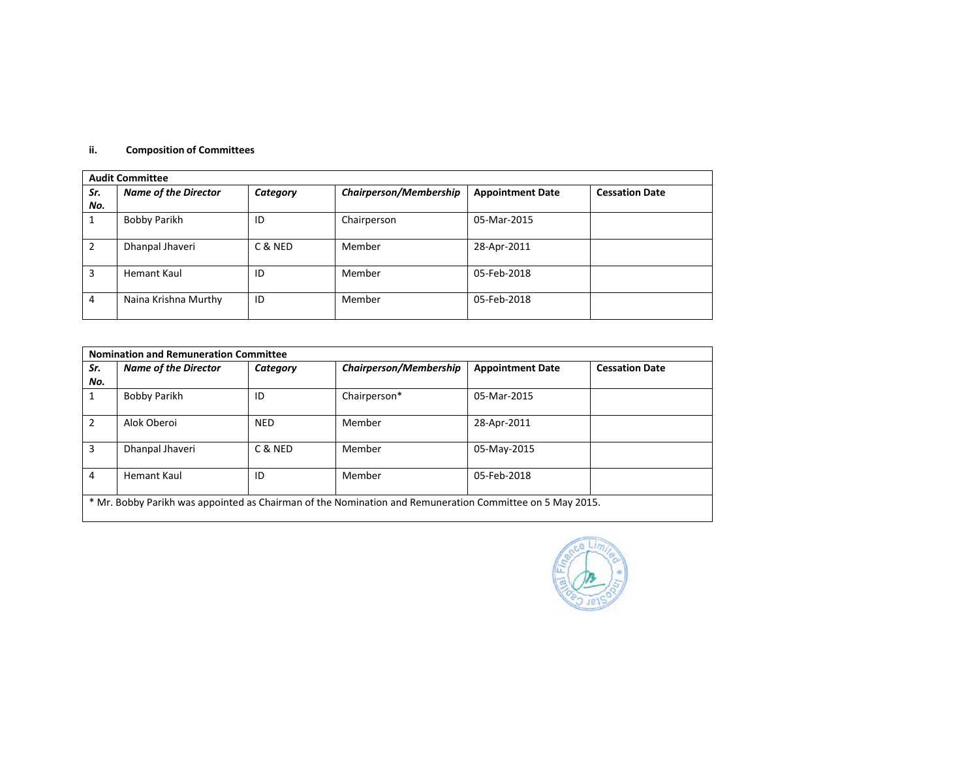## **ii. Composition of Committees**

|     | <b>Audit Committee</b>      |          |                        |                         |                       |  |  |
|-----|-----------------------------|----------|------------------------|-------------------------|-----------------------|--|--|
| Sr. | <b>Name of the Director</b> | Category | Chairperson/Membership | <b>Appointment Date</b> | <b>Cessation Date</b> |  |  |
| No. |                             |          |                        |                         |                       |  |  |
|     | <b>Bobby Parikh</b>         | ID       | Chairperson            | 05-Mar-2015             |                       |  |  |
|     | Dhanpal Jhaveri             | C & NED  | Member                 | 28-Apr-2011             |                       |  |  |
| 3   | Hemant Kaul                 | ID       | Member                 | 05-Feb-2018             |                       |  |  |
| 4   | Naina Krishna Murthy        | ID       | Member                 | 05-Feb-2018             |                       |  |  |

| Sr.<br>No. | <b>Name of the Director</b> | Category   | <b>Chairperson/Membership</b> | <b>Appointment Date</b> | <b>Cessation Date</b> |
|------------|-----------------------------|------------|-------------------------------|-------------------------|-----------------------|
|            | Bobby Parikh                | ID         | Chairperson*                  | 05-Mar-2015             |                       |
| 2          | Alok Oberoi                 | <b>NED</b> | Member                        | 28-Apr-2011             |                       |
| 3          | Dhanpal Jhaveri             | C & NED    | Member                        | 05-May-2015             |                       |
| 4          | Hemant Kaul                 | ID         | Member                        | 05-Feb-2018             |                       |

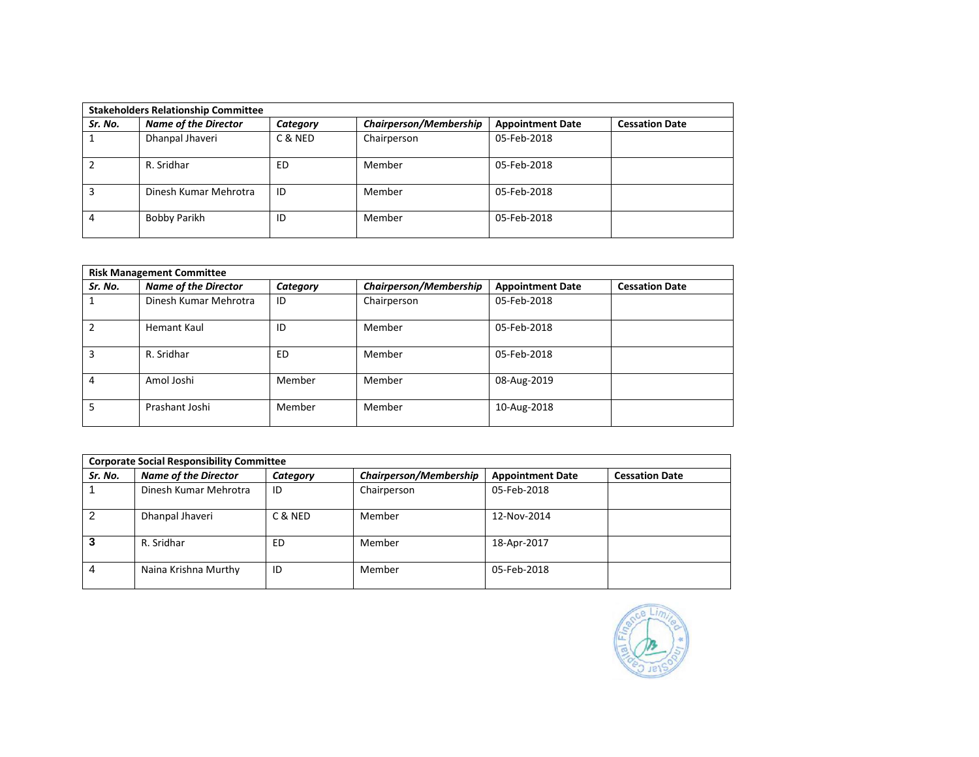|         | <b>Stakeholders Relationship Committee</b> |          |                               |                         |                       |  |  |
|---------|--------------------------------------------|----------|-------------------------------|-------------------------|-----------------------|--|--|
| Sr. No. | <b>Name of the Director</b>                | Category | <b>Chairperson/Membership</b> | <b>Appointment Date</b> | <b>Cessation Date</b> |  |  |
|         | Dhanpal Jhaveri                            | C & NED  | Chairperson                   | 05-Feb-2018             |                       |  |  |
|         | R. Sridhar                                 | ED       | Member                        | 05-Feb-2018             |                       |  |  |
| 3       | Dinesh Kumar Mehrotra                      | ID       | Member                        | 05-Feb-2018             |                       |  |  |
| 4       | Bobby Parikh                               | ID       | Member                        | 05-Feb-2018             |                       |  |  |

| <b>Risk Management Committee</b> |                             |          |                               |                         |                       |  |
|----------------------------------|-----------------------------|----------|-------------------------------|-------------------------|-----------------------|--|
| Sr. No.                          | <b>Name of the Director</b> | Category | <b>Chairperson/Membership</b> | <b>Appointment Date</b> | <b>Cessation Date</b> |  |
|                                  | Dinesh Kumar Mehrotra       | ID       | Chairperson                   | 05-Feb-2018             |                       |  |
| $\overline{2}$                   | Hemant Kaul                 | ID       | Member                        | 05-Feb-2018             |                       |  |
| 3                                | R. Sridhar                  | ED       | Member                        | 05-Feb-2018             |                       |  |
| 4                                | Amol Joshi                  | Member   | Member                        | 08-Aug-2019             |                       |  |
| 5                                | Prashant Joshi              | Member   | Member                        | 10-Aug-2018             |                       |  |

| <b>Corporate Social Responsibility Committee</b> |                             |          |                        |                         |                       |  |
|--------------------------------------------------|-----------------------------|----------|------------------------|-------------------------|-----------------------|--|
| Sr. No.                                          | <b>Name of the Director</b> | Category | Chairperson/Membership | <b>Appointment Date</b> | <b>Cessation Date</b> |  |
|                                                  | Dinesh Kumar Mehrotra       | ID       | Chairperson            | 05-Feb-2018             |                       |  |
| 2                                                | Dhanpal Jhaveri             | C & NED  | Member                 | 12-Nov-2014             |                       |  |
|                                                  | R. Sridhar                  | ED       | Member                 | 18-Apr-2017             |                       |  |
| 4                                                | Naina Krishna Murthy        | ID       | Member                 | 05-Feb-2018             |                       |  |

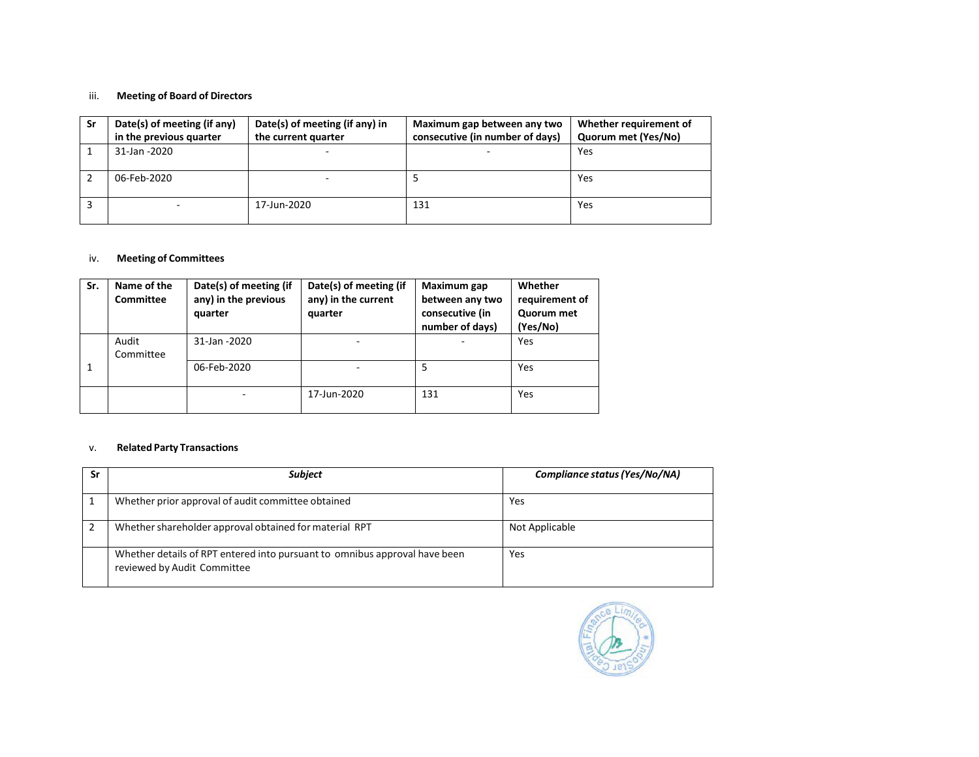# iii. **Meeting of Board of Directors**

| Sr | Date(s) of meeting (if any)<br>in the previous quarter | Date(s) of meeting (if any) in<br>the current quarter | Maximum gap between any two<br>consecutive (in number of days) | Whether requirement of<br>Quorum met (Yes/No) |
|----|--------------------------------------------------------|-------------------------------------------------------|----------------------------------------------------------------|-----------------------------------------------|
|    | 31-Jan -2020                                           | -                                                     |                                                                | Yes                                           |
|    | 06-Feb-2020                                            | -                                                     |                                                                | Yes                                           |
|    |                                                        | 17-Jun-2020                                           | 131                                                            | Yes                                           |

## iv. **Meeting of Committees**

| Sr. | Name of the<br><b>Committee</b> | Date(s) of meeting (if<br>any) in the previous<br>quarter | Date(s) of meeting (if<br>any) in the current<br>quarter | Maximum gap<br>between any two<br>consecutive (in<br>number of days) | Whether<br>requirement of<br>Quorum met<br>(Yes/No) |
|-----|---------------------------------|-----------------------------------------------------------|----------------------------------------------------------|----------------------------------------------------------------------|-----------------------------------------------------|
|     | Audit<br>Committee              | 31-Jan -2020                                              |                                                          |                                                                      | Yes                                                 |
|     |                                 | 06-Feb-2020                                               |                                                          | 5                                                                    | Yes                                                 |
|     |                                 |                                                           | 17-Jun-2020                                              | 131                                                                  | Yes                                                 |

## v. **Related Party Transactions**

| Sr | <b>Subject</b>                                                                                            | Compliance status (Yes/No/NA) |
|----|-----------------------------------------------------------------------------------------------------------|-------------------------------|
|    | Whether prior approval of audit committee obtained                                                        | Yes                           |
|    | Whether shareholder approval obtained for material RPT                                                    | Not Applicable                |
|    | Whether details of RPT entered into pursuant to omnibus approval have been<br>reviewed by Audit Committee | Yes                           |